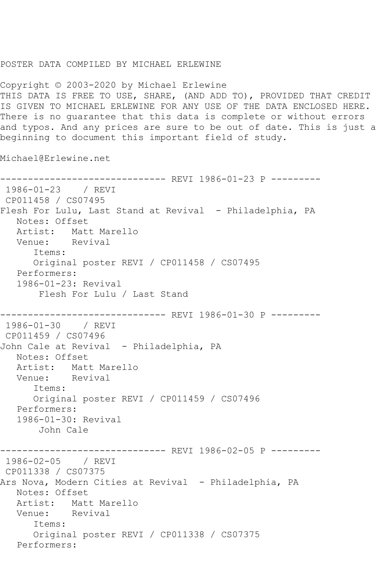## POSTER DATA COMPILED BY MICHAEL ERLEWINE

Copyright © 2003-2020 by Michael Erlewine THIS DATA IS FREE TO USE, SHARE, (AND ADD TO), PROVIDED THAT CREDIT IS GIVEN TO MICHAEL ERLEWINE FOR ANY USE OF THE DATA ENCLOSED HERE. There is no guarantee that this data is complete or without errors and typos. And any prices are sure to be out of date. This is just a beginning to document this important field of study.

Michael@Erlewine.net

------------------------------ REVI 1986-01-23 P --------- 1986-01-23 / REVI CP011458 / CS07495 Flesh For Lulu, Last Stand at Revival - Philadelphia, PA Notes: Offset Artist: Matt Marello<br>Venue: Revival Venue: Items: Original poster REVI / CP011458 / CS07495 Performers: 1986-01-23: Revival Flesh For Lulu / Last Stand ------------------------------ REVI 1986-01-30 P --------- 1986-01-30 / REVI CP011459 / CS07496 John Cale at Revival - Philadelphia, PA Notes: Offset Artist: Matt Marello<br>Venue: Revival Venue: Items: Original poster REVI / CP011459 / CS07496 Performers: 1986-01-30: Revival John Cale ----------- REVI 1986-02-05 P ---------1986-02-05 / REVI CP011338 / CS07375 Ars Nova, Modern Cities at Revival - Philadelphia, PA Notes: Offset<br>Artist: Mati Matt Marello<br>Revival Venue: Items: Original poster REVI / CP011338 / CS07375 Performers: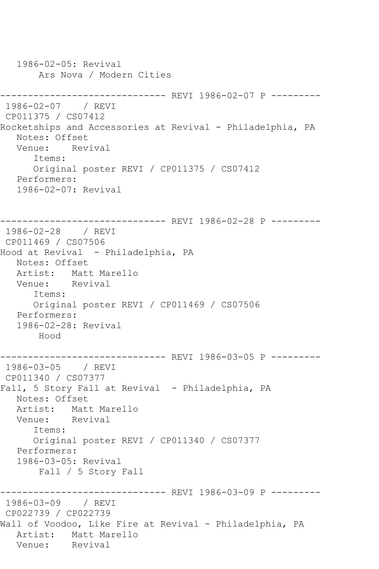1986-02-05: Revival Ars Nova / Modern Cities ------------------------------ REVI 1986-02-07 P --------- 1986-02-07 / REVI CP011375 / CS07412 Rocketships and Accessories at Revival - Philadelphia, PA Notes: Offset Venue: Revival Items: Original poster REVI / CP011375 / CS07412 Performers: 1986-02-07: Revival ------------------------------ REVI 1986-02-28 P --------- 1986-02-28 / REVI CP011469 / CS07506 Hood at Revival - Philadelphia, PA Notes: Offset Artist: Matt Marello Venue: Revival Items: Original poster REVI / CP011469 / CS07506 Performers: 1986-02-28: Revival Hood ------------------------------ REVI 1986-03-05 P --------- 1986-03-05 / REVI CP011340 / CS07377 Fall, 5 Story Fall at Revival - Philadelphia, PA Notes: Offset Artist: Matt Marello Venue: Revival Items: Original poster REVI / CP011340 / CS07377 Performers: 1986-03-05: Revival Fall / 5 Story Fall ------------------------------ REVI 1986-03-09 P --------- 1986-03-09 / REVI CP022739 / CP022739 Wall of Voodoo, Like Fire at Revival - Philadelphia, PA Artist: Matt Marello<br>Venue: Revival Revival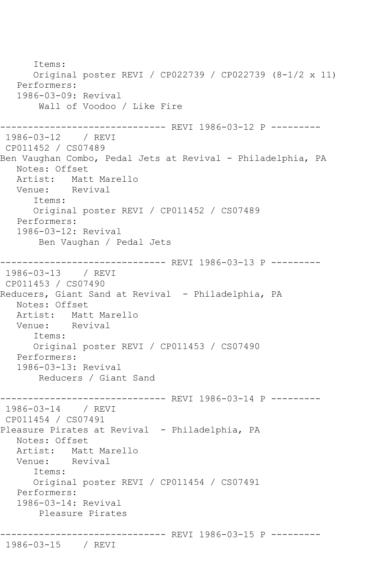Items: Original poster REVI / CP022739 / CP022739 (8-1/2 x 11) Performers: 1986-03-09: Revival Wall of Voodoo / Like Fire ------------------------------ REVI 1986-03-12 P --------- 1986-03-12 / REVI CP011452 / CS07489 Ben Vaughan Combo, Pedal Jets at Revival - Philadelphia, PA Notes: Offset Artist: Matt Marello<br>Venue: Revival Venue: Items: Original poster REVI / CP011452 / CS07489 Performers: 1986-03-12: Revival Ben Vaughan / Pedal Jets ------------------------------ REVI 1986-03-13 P --------- 1986-03-13 / REVI CP011453 / CS07490 Reducers, Giant Sand at Revival - Philadelphia, PA Notes: Offset Artist: Matt Marello<br>Venue: Revival Venue: Items: Original poster REVI / CP011453 / CS07490 Performers: 1986-03-13: Revival Reducers / Giant Sand ------------------------------ REVI 1986-03-14 P --------- 1986-03-14 / REVI CP011454 / CS07491 Pleasure Pirates at Revival - Philadelphia, PA Notes: Offset Artist: Matt Marello Venue: Revival Items: Original poster REVI / CP011454 / CS07491 Performers: 1986-03-14: Revival Pleasure Pirates ------------------------------ REVI 1986-03-15 P --------- 1986-03-15 / REVI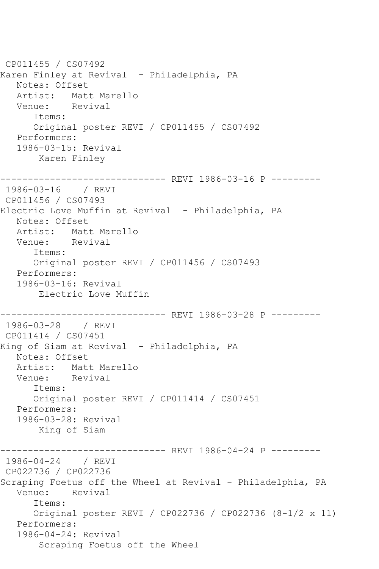CP011455 / CS07492 Karen Finley at Revival - Philadelphia, PA Notes: Offset Artist: Matt Marello<br>Venue: Revival Revival Items: Original poster REVI / CP011455 / CS07492 Performers: 1986-03-15: Revival Karen Finley ------------------------------ REVI 1986-03-16 P --------- 1986-03-16 / REVI CP011456 / CS07493 Electric Love Muffin at Revival - Philadelphia, PA Notes: Offset Artist: Matt Marello<br>Venue: Revival Venue: Items: Original poster REVI / CP011456 / CS07493 Performers: 1986-03-16: Revival Electric Love Muffin ------------------------------ REVI 1986-03-28 P --------- 1986-03-28 / REVI CP011414 / CS07451 King of Siam at Revival - Philadelphia, PA Notes: Offset Artist: Matt Marello<br>Venue: Revival Venue: Items: Original poster REVI / CP011414 / CS07451 Performers: 1986-03-28: Revival King of Siam ------------------------------ REVI 1986-04-24 P --------- 1986-04-24 / REVI CP022736 / CP022736 Scraping Foetus off the Wheel at Revival - Philadelphia, PA Venue: Revival Items: Original poster REVI / CP022736 / CP022736 (8-1/2 x 11) Performers: 1986-04-24: Revival Scraping Foetus off the Wheel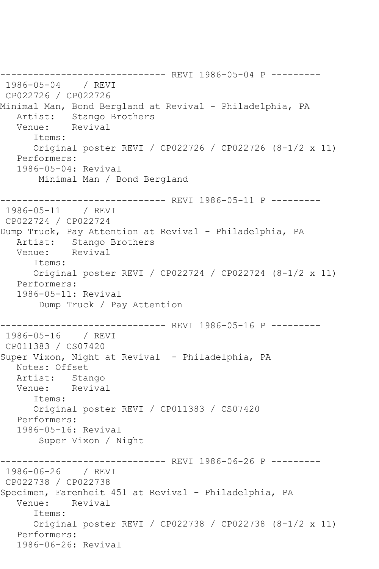------------------------------ REVI 1986-05-04 P --------- 1986-05-04 / REVI CP022726 / CP022726 Minimal Man, Bond Bergland at Revival - Philadelphia, PA Artist: Stango Brothers<br>Venue: Revival Revival Items: Original poster REVI / CP022726 / CP022726 (8-1/2 x 11) Performers: 1986-05-04: Revival Minimal Man / Bond Bergland ------------------------------- REVI 1986-05-11 P ---------<br>1986-05-11 / REVI 1986-05-11 CP022724 / CP022724 Dump Truck, Pay Attention at Revival - Philadelphia, PA Artist: Stango Brothers Venue: Revival Items: Original poster REVI / CP022724 / CP022724 (8-1/2 x 11) Performers: 1986-05-11: Revival Dump Truck / Pay Attention ------------------------------ REVI 1986-05-16 P --------- 1986-05-16 / REVI CP011383 / CS07420 Super Vixon, Night at Revival - Philadelphia, PA Notes: Offset Artist: Stango Venue: Revival Items: Original poster REVI / CP011383 / CS07420 Performers: 1986-05-16: Revival Super Vixon / Night ------------------------------ REVI 1986-06-26 P --------- 1986-06-26 / REVI CP022738 / CP022738 Specimen, Farenheit 451 at Revival - Philadelphia, PA Venue: Revival Items: Original poster REVI / CP022738 / CP022738 (8-1/2 x 11) Performers: 1986-06-26: Revival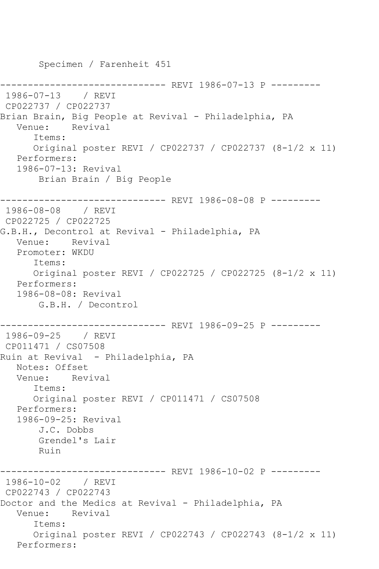Specimen / Farenheit 451 -------------- REVI 1986-07-13 P ---------1986-07-13 / REVI CP022737 / CP022737 Brian Brain, Big People at Revival - Philadelphia, PA Venue: Revival Items: Original poster REVI / CP022737 / CP022737 (8-1/2 x 11) Performers: 1986-07-13: Revival Brian Brain / Big People ------------------------------ REVI 1986-08-08 P --------- 1986-08-08 / REVI CP022725 / CP022725 G.B.H., Decontrol at Revival - Philadelphia, PA Venue: Revival Promoter: WKDU Items: Original poster REVI / CP022725 / CP022725 (8-1/2 x 11) Performers: 1986-08-08: Revival G.B.H. / Decontrol ------------------------------ REVI 1986-09-25 P --------- 1986-09-25 / REVI CP011471 / CS07508 Ruin at Revival - Philadelphia, PA Notes: Offset Venue: Revival Items: Original poster REVI / CP011471 / CS07508 Performers: 1986-09-25: Revival J.C. Dobbs Grendel's Lair Ruin ------------------------------ REVI 1986-10-02 P --------- 1986-10-02 / REVI CP022743 / CP022743 Doctor and the Medics at Revival - Philadelphia, PA Venue: Revival Items: Original poster REVI / CP022743 / CP022743 (8-1/2 x 11) Performers: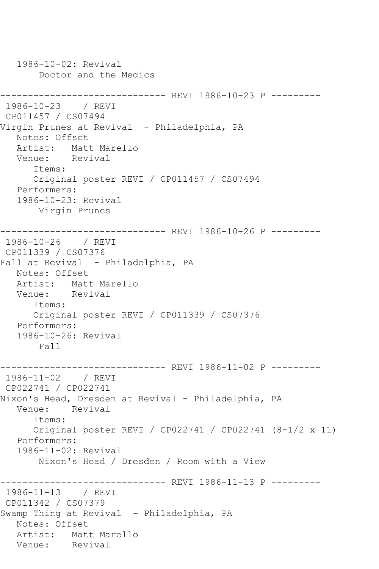1986-10-02: Revival Doctor and the Medics ------------------------------ REVI 1986-10-23 P --------- 1986-10-23 / REVI CP011457 / CS07494 Virgin Prunes at Revival - Philadelphia, PA Notes: Offset Artist: Matt Marello<br>Venue: Revival Venue: Items: Original poster REVI / CP011457 / CS07494 Performers: 1986-10-23: Revival Virgin Prunes ------------------------------ REVI 1986-10-26 P --------- 1986-10-26 / REVI CP011339 / CS07376 Fall at Revival - Philadelphia, PA Notes: Offset Artist: Matt Marello Venue: Revival Items: Original poster REVI / CP011339 / CS07376 Performers: 1986-10-26: Revival Fall ------------------------------ REVI 1986-11-02 P --------- 1986-11-02 / REVI CP022741 / CP022741 Nixon's Head, Dresden at Revival - Philadelphia, PA Venue: Revival Items: Original poster REVI / CP022741 / CP022741 (8-1/2 x 11) Performers: 1986-11-02: Revival Nixon's Head / Dresden / Room with a View ------------------------------ REVI 1986-11-13 P --------- 1986-11-13 / REVI CP011342 / CS07379 Swamp Thing at Revival - Philadelphia, PA Notes: Offset Artist: Matt Marello<br>Venue: Revival Venue: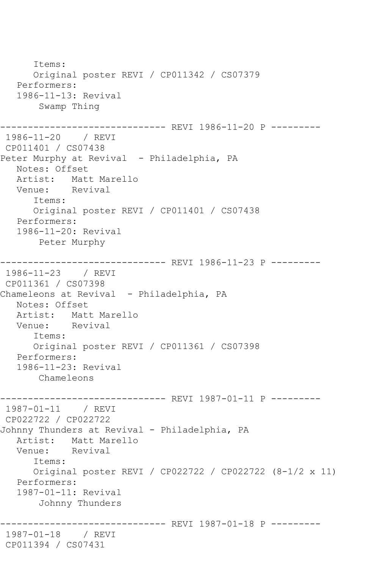```
 Items:
       Original poster REVI / CP011342 / CS07379
   Performers:
    1986-11-13: Revival
        Swamp Thing
------------------------------ REVI 1986-11-20 P ---------
1986-11-20 / REVI 
CP011401 / CS07438
Peter Murphy at Revival - Philadelphia, PA
   Notes: Offset
  Artist: Matt Marello<br>Venue: Revival
            Revival
       Items:
       Original poster REVI / CP011401 / CS07438
   Performers:
    1986-11-20: Revival
        Peter Murphy
------------------------------ REVI 1986-11-23 P ---------
1986-11-23 / REVI 
CP011361 / CS07398
Chameleons at Revival - Philadelphia, PA
   Notes: Offset
  Artist: Matt Marello<br>Venue: Revival
            Revival
       Items:
       Original poster REVI / CP011361 / CS07398
   Performers:
    1986-11-23: Revival
        Chameleons
------------------------------ REVI 1987-01-11 P ---------
1987-01-11 / REVI 
CP022722 / CP022722
Johnny Thunders at Revival - Philadelphia, PA
   Artist: Matt Marello
   Venue: Revival
       Items:
       Original poster REVI / CP022722 / CP022722 (8-1/2 x 11)
    Performers:
    1987-01-11: Revival
        Johnny Thunders
                ------------------------------ REVI 1987-01-18 P ---------
1987-01-18 / REVI 
CP011394 / CS07431
```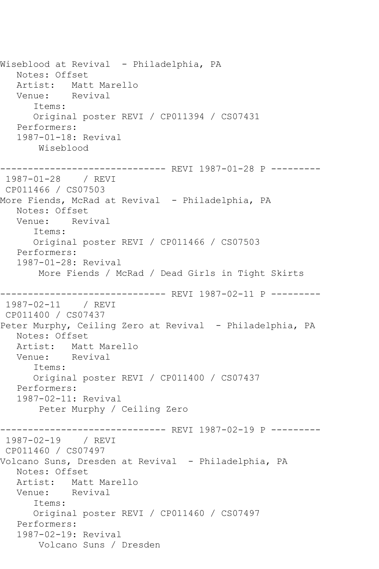Wiseblood at Revival - Philadelphia, PA Notes: Offset<br>Artist: Matt Matt Marello<br>Revival Venue: Items: Original poster REVI / CP011394 / CS07431 Performers: 1987-01-18: Revival Wiseblood ------------------------------ REVI 1987-01-28 P --------- 1987-01-28 / REVI CP011466 / CS07503 More Fiends, McRad at Revival - Philadelphia, PA Notes: Offset Venue: Revival Items: Original poster REVI / CP011466 / CS07503 Performers: 1987-01-28: Revival More Fiends / McRad / Dead Girls in Tight Skirts ------------------------------ REVI 1987-02-11 P --------- 1987-02-11 / REVI CP011400 / CS07437 Peter Murphy, Ceiling Zero at Revival - Philadelphia, PA Notes: Offset Artist: Matt Marello Venue: Revival Items: Original poster REVI / CP011400 / CS07437 Performers: 1987-02-11: Revival Peter Murphy / Ceiling Zero ------------------------------ REVI 1987-02-19 P --------- 1987-02-19 / REVI CP011460 / CS07497 Volcano Suns, Dresden at Revival - Philadelphia, PA Notes: Offset Artist: Matt Marello Venue: Revival Items: Original poster REVI / CP011460 / CS07497 Performers: 1987-02-19: Revival Volcano Suns / Dresden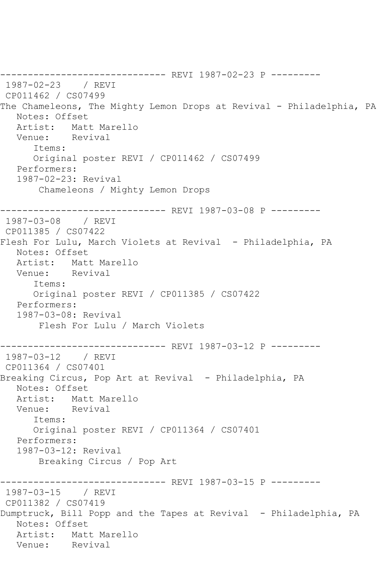------------------------------ REVI 1987-02-23 P --------- 1987-02-23 / REVI CP011462 / CS07499 The Chameleons, The Mighty Lemon Drops at Revival - Philadelphia, PA Notes: Offset Artist: Matt Marello Venue: Revival Items: Original poster REVI / CP011462 / CS07499 Performers: 1987-02-23: Revival Chameleons / Mighty Lemon Drops ------------------------------ REVI 1987-03-08 P --------- 1987-03-08 / REVI CP011385 / CS07422 Flesh For Lulu, March Violets at Revival - Philadelphia, PA Notes: Offset Artist: Matt Marello<br>Venue: Revival Venue: Items: Original poster REVI / CP011385 / CS07422 Performers: 1987-03-08: Revival Flesh For Lulu / March Violets ------------------- REVI 1987-03-12 P ---------1987-03-12 / REVI CP011364 / CS07401 Breaking Circus, Pop Art at Revival - Philadelphia, PA Notes: Offset Artist: Matt Marello<br>Venue: Revival Venue: Items: Original poster REVI / CP011364 / CS07401 Performers: 1987-03-12: Revival Breaking Circus / Pop Art ----------- REVI 1987-03-15 P ---------1987-03-15 / REVI CP011382 / CS07419 Dumptruck, Bill Popp and the Tapes at Revival - Philadelphia, PA Notes: Offset Artist: Matt Marello<br>Venue: Revival Venue: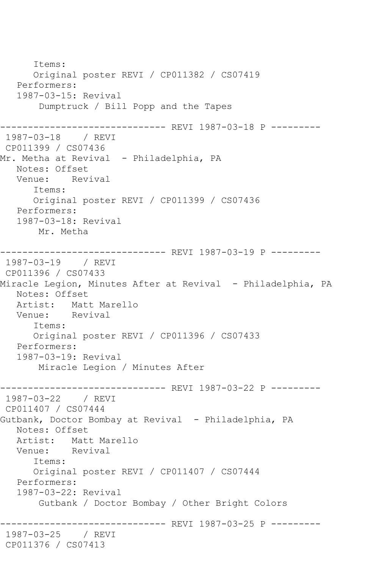```
 Items:
      Original poster REVI / CP011382 / CS07419
   Performers:
   1987-03-15: Revival
        Dumptruck / Bill Popp and the Tapes
------------------------------ REVI 1987-03-18 P ---------
1987-03-18 / REVI 
CP011399 / CS07436
Mr. Metha at Revival - Philadelphia, PA
   Notes: Offset
   Venue: Revival
       Items:
       Original poster REVI / CP011399 / CS07436
   Performers:
   1987-03-18: Revival
       Mr. Metha
------------------------------ REVI 1987-03-19 P ---------
1987-03-19 / REVI 
CP011396 / CS07433
Miracle Legion, Minutes After at Revival - Philadelphia, PA
   Notes: Offset
   Artist: Matt Marello
   Venue: Revival
       Items:
       Original poster REVI / CP011396 / CS07433
   Performers:
   1987-03-19: Revival
        Miracle Legion / Minutes After
      ------------------------------ REVI 1987-03-22 P ---------
1987-03-22 / REVI 
CP011407 / CS07444
Gutbank, Doctor Bombay at Revival - Philadelphia, PA
   Notes: Offset
   Artist: Matt Marello
   Venue: Revival
      Items:
       Original poster REVI / CP011407 / CS07444
   Performers:
   1987-03-22: Revival
        Gutbank / Doctor Bombay / Other Bright Colors
                 ------------------------------ REVI 1987-03-25 P ---------
1987-03-25 / REVI 
CP011376 / CS07413
```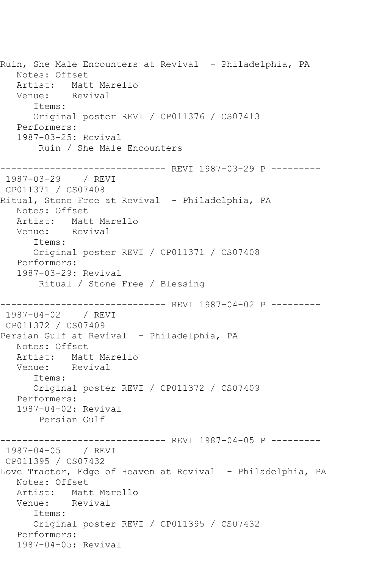Ruin, She Male Encounters at Revival - Philadelphia, PA Notes: Offset Artist: Matt Marello<br>Venue: Revival Venue: Items: Original poster REVI / CP011376 / CS07413 Performers: 1987-03-25: Revival Ruin / She Male Encounters ------------------------------ REVI 1987-03-29 P --------- 1987-03-29 / REVI CP011371 / CS07408 Ritual, Stone Free at Revival - Philadelphia, PA Notes: Offset Artist: Matt Marello Venue: Revival Items: Original poster REVI / CP011371 / CS07408 Performers: 1987-03-29: Revival Ritual / Stone Free / Blessing ------------------------------ REVI 1987-04-02 P --------- 1987-04-02 / REVI CP011372 / CS07409 Persian Gulf at Revival - Philadelphia, PA Notes: Offset Artist: Matt Marello Venue: Revival Items: Original poster REVI / CP011372 / CS07409 Performers: 1987-04-02: Revival Persian Gulf ------------------------------ REVI 1987-04-05 P --------- 1987-04-05 / REVI CP011395 / CS07432 Love Tractor, Edge of Heaven at Revival - Philadelphia, PA Notes: Offset Artist: Matt Marello Venue: Revival Items: Original poster REVI / CP011395 / CS07432 Performers: 1987-04-05: Revival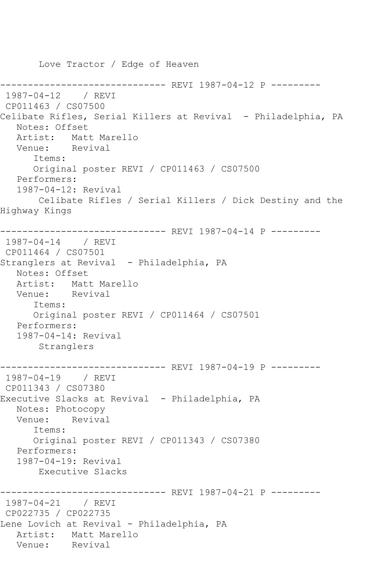Love Tractor / Edge of Heaven -------------- REVI 1987-04-12 P ---------1987-04-12 / REVI CP011463 / CS07500 Celibate Rifles, Serial Killers at Revival - Philadelphia, PA Notes: Offset Artist: Matt Marello Venue: Revival Items: Original poster REVI / CP011463 / CS07500 Performers: 1987-04-12: Revival Celibate Rifles / Serial Killers / Dick Destiny and the Highway Kings ------------------------------ REVI 1987-04-14 P --------- 1987-04-14 / REVI CP011464 / CS07501 Stranglers at Revival - Philadelphia, PA Notes: Offset Artist: Matt Marello Venue: Revival Items: Original poster REVI / CP011464 / CS07501 Performers: 1987-04-14: Revival Stranglers ------------------------------ REVI 1987-04-19 P --------- 1987-04-19 / REVI CP011343 / CS07380 Executive Slacks at Revival - Philadelphia, PA Notes: Photocopy Venue: Revival Items: Original poster REVI / CP011343 / CS07380 Performers: 1987-04-19: Revival Executive Slacks ------------------------------ REVI 1987-04-21 P --------- 1987-04-21 / REVI CP022735 / CP022735 Lene Lovich at Revival - Philadelphia, PA Artist: Matt Marello<br>Venue: Revival Venue: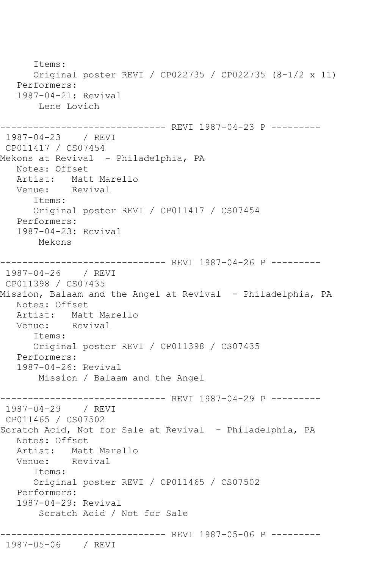Items: Original poster REVI / CP022735 / CP022735 (8-1/2 x 11) Performers: 1987-04-21: Revival Lene Lovich ------------------------------ REVI 1987-04-23 P --------- 1987-04-23 / REVI CP011417 / CS07454 Mekons at Revival - Philadelphia, PA Notes: Offset Artist: Matt Marello<br>Venue: Revival Venue: Items: Original poster REVI / CP011417 / CS07454 Performers: 1987-04-23: Revival Mekons ------------------------------ REVI 1987-04-26 P --------- 1987-04-26 / REVI CP011398 / CS07435 Mission, Balaam and the Angel at Revival - Philadelphia, PA Notes: Offset Artist: Matt Marello<br>Venue: Revival Venue: Items: Original poster REVI / CP011398 / CS07435 Performers: 1987-04-26: Revival Mission / Balaam and the Angel ------------------------------ REVI 1987-04-29 P ---------<br>1987-04-29 / REVI  $1987 - 04 - 29$ CP011465 / CS07502 Scratch Acid, Not for Sale at Revival - Philadelphia, PA Notes: Offset Artist: Matt Marello Venue: Revival Items: Original poster REVI / CP011465 / CS07502 Performers: 1987-04-29: Revival Scratch Acid / Not for Sale ------------------------------ REVI 1987-05-06 P --------- 1987-05-06 / REVI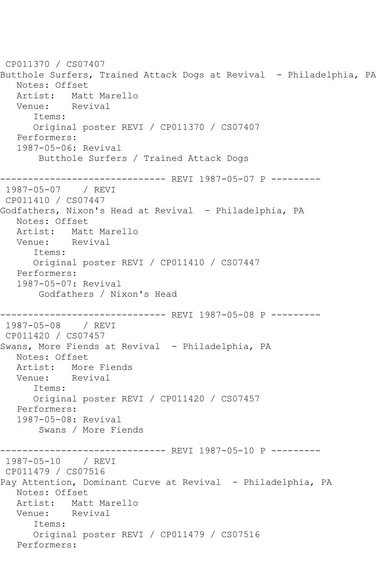```
CP011370 / CS07407
Butthole Surfers, Trained Attack Dogs at Revival - Philadelphia, PA
   Notes: Offset
  Artist: Matt Marello<br>Venue: Revival
            Revival
       Items:
       Original poster REVI / CP011370 / CS07407
   Performers:
    1987-05-06: Revival
        Butthole Surfers / Trained Attack Dogs
------------------------------ REVI 1987-05-07 P ---------
1987-05-07 / REVI 
CP011410 / CS07447
Godfathers, Nixon's Head at Revival - Philadelphia, PA
   Notes: Offset
  Artist: Matt Marello<br>Venue: Revival
  Venue:
       Items:
       Original poster REVI / CP011410 / CS07447
   Performers:
    1987-05-07: Revival
        Godfathers / Nixon's Head
         ------------------------------ REVI 1987-05-08 P ---------
1987-05-08 / REVI 
CP011420 / CS07457
Swans, More Fiends at Revival - Philadelphia, PA
   Notes: Offset
  Artist: More Fiends<br>Venue: Revival
  Venue:
       Items:
       Original poster REVI / CP011420 / CS07457
   Performers:
    1987-05-08: Revival
        Swans / More Fiends
                    ----------- REVI 1987-05-10 P ---------
1987-05-10 / REVI 
CP011479 / CS07516
Pay Attention, Dominant Curve at Revival - Philadelphia, PA
   Notes: Offset
  Artist: Matt Marello<br>Venue: Revival
  Venue:
       Items:
       Original poster REVI / CP011479 / CS07516
   Performers:
```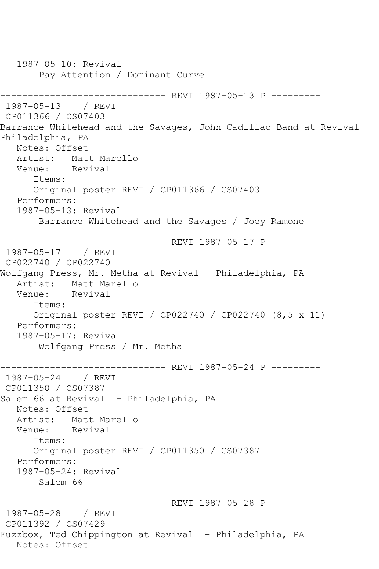1987-05-10: Revival Pay Attention / Dominant Curve ------------------------------- REVI 1987-05-13 P ---------<br>1987-05-13 / REVI  $1987 - 05 - 13$ CP011366 / CS07403 Barrance Whitehead and the Savages, John Cadillac Band at Revival - Philadelphia, PA Notes: Offset Artist: Matt Marello Venue: Revival Items: Original poster REVI / CP011366 / CS07403 Performers: 1987-05-13: Revival Barrance Whitehead and the Savages / Joey Ramone ------------------------------ REVI 1987-05-17 P --------- 1987-05-17 / REVI CP022740 / CP022740 Wolfgang Press, Mr. Metha at Revival - Philadelphia, PA Artist: Matt Marello Venue: Revival Items: Original poster REVI / CP022740 / CP022740 (8,5 x 11) Performers: 1987-05-17: Revival Wolfgang Press / Mr. Metha ------------------------------ REVI 1987-05-24 P --------- 1987-05-24 / REVI CP011350 / CS07387 Salem 66 at Revival - Philadelphia, PA Notes: Offset Artist: Matt Marello Venue: Revival Items: Original poster REVI / CP011350 / CS07387 Performers: 1987-05-24: Revival Salem 66 ------------------------------ REVI 1987-05-28 P --------- 1987-05-28 / REVI CP011392 / CS07429 Fuzzbox, Ted Chippington at Revival - Philadelphia, PA Notes: Offset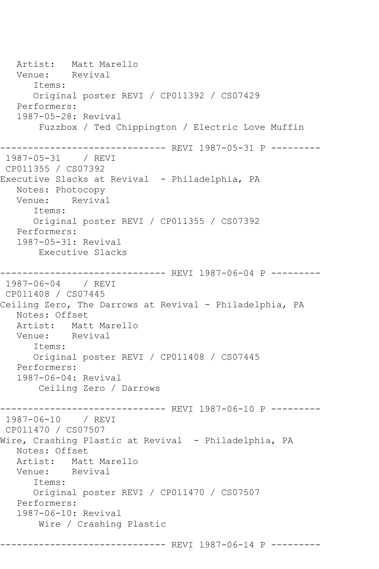Artist: Matt Marello<br>Venue: Revival Venue: Items: Original poster REVI / CP011392 / CS07429 Performers: 1987-05-28: Revival Fuzzbox / Ted Chippington / Electric Love Muffin ------------------------------ REVI 1987-05-31 P --------- 1987-05-31 / REVI CP011355 / CS07392 Executive Slacks at Revival - Philadelphia, PA Notes: Photocopy Venue: Revival Items: Original poster REVI / CP011355 / CS07392 Performers: 1987-05-31: Revival Executive Slacks ------------------------------ REVI 1987-06-04 P --------- 1987-06-04 / REVI CP011408 / CS07445 Ceiling Zero, The Darrows at Revival - Philadelphia, PA Notes: Offset Artist: Matt Marello Venue: Revival Items: Original poster REVI / CP011408 / CS07445 Performers: 1987-06-04: Revival Ceiling Zero / Darrows ------------------------------ REVI 1987-06-10 P --------- 1987-06-10 / REVI CP011470 / CS07507 Wire, Crashing Plastic at Revival - Philadelphia, PA Notes: Offset Artist: Matt Marello Venue: Revival Items: Original poster REVI / CP011470 / CS07507 Performers: 1987-06-10: Revival Wire / Crashing Plastic ------------------------------ REVI 1987-06-14 P ---------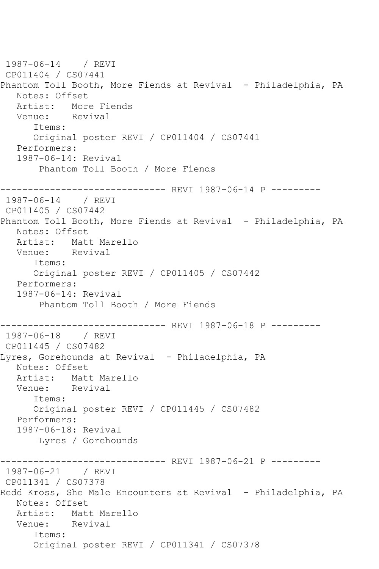1987-06-14 / REVI CP011404 / CS07441 Phantom Toll Booth, More Fiends at Revival - Philadelphia, PA Notes: Offset Artist: More Fiends Venue: Revival Items: Original poster REVI / CP011404 / CS07441 Performers: 1987-06-14: Revival Phantom Toll Booth / More Fiends ------------------------------ REVI 1987-06-14 P --------- 1987-06-14 / REVI CP011405 / CS07442 Phantom Toll Booth, More Fiends at Revival - Philadelphia, PA Notes: Offset Artist: Matt Marello Venue: Revival Items: Original poster REVI / CP011405 / CS07442 Performers: 1987-06-14: Revival Phantom Toll Booth / More Fiends ------------------------------ REVI 1987-06-18 P --------- 1987-06-18 / REVI CP011445 / CS07482 Lyres, Gorehounds at Revival - Philadelphia, PA Notes: Offset Artist: Matt Marello Venue: Revival Items: Original poster REVI / CP011445 / CS07482 Performers: 1987-06-18: Revival Lyres / Gorehounds ------------------------------ REVI 1987-06-21 P --------- 1987-06-21 / REVI CP011341 / CS07378 Redd Kross, She Male Encounters at Revival - Philadelphia, PA Notes: Offset Artist: Matt Marello Venue: Revival Items: Original poster REVI / CP011341 / CS07378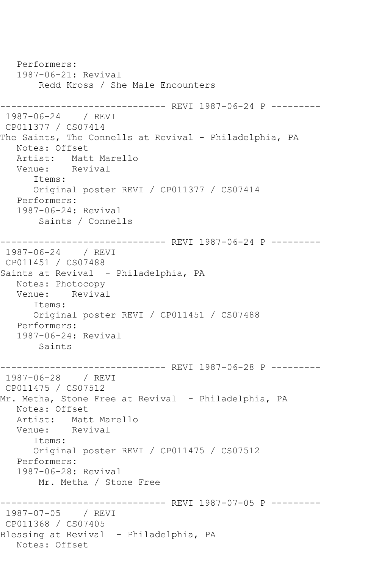Performers: 1987-06-21: Revival Redd Kross / She Male Encounters ------------------------------ REVI 1987-06-24 P --------- 1987-06-24 / REVI CP011377 / CS07414 The Saints, The Connells at Revival - Philadelphia, PA Notes: Offset Artist: Matt Marello Venue: Revival Items: Original poster REVI / CP011377 / CS07414 Performers: 1987-06-24: Revival Saints / Connells ------------------------------ REVI 1987-06-24 P --------- 1987-06-24 / REVI CP011451 / CS07488 Saints at Revival - Philadelphia, PA Notes: Photocopy Venue: Revival Items: Original poster REVI / CP011451 / CS07488 Performers: 1987-06-24: Revival Saints ------------------------------ REVI 1987-06-28 P --------- 1987-06-28 / REVI CP011475 / CS07512 Mr. Metha, Stone Free at Revival - Philadelphia, PA Notes: Offset Artist: Matt Marello Venue: Revival Items: Original poster REVI / CP011475 / CS07512 Performers: 1987-06-28: Revival Mr. Metha / Stone Free ------------------------------ REVI 1987-07-05 P --------- 1987-07-05 / REVI CP011368 / CS07405 Blessing at Revival - Philadelphia, PA Notes: Offset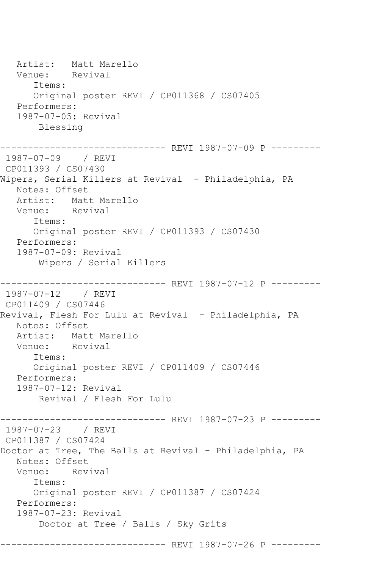Artist: Matt Marello<br>Venue: Revival Venue: Items: Original poster REVI / CP011368 / CS07405 Performers: 1987-07-05: Revival Blessing ----------- REVI 1987-07-09 P ---------1987-07-09 / REVI CP011393 / CS07430 Wipers, Serial Killers at Revival - Philadelphia, PA Notes: Offset Artist: Matt Marello<br>Venue: Revival Venue: Items: Original poster REVI / CP011393 / CS07430 Performers: 1987-07-09: Revival Wipers / Serial Killers ------------------------------ REVI 1987-07-12 P --------- 1987-07-12 / REVI CP011409 / CS07446 Revival, Flesh For Lulu at Revival - Philadelphia, PA Notes: Offset Artist: Matt Marello<br>Venue: Revival Venue: Items: Original poster REVI / CP011409 / CS07446 Performers: 1987-07-12: Revival Revival / Flesh For Lulu ------------------------------ REVI 1987-07-23 P --------- 1987-07-23 / REVI CP011387 / CS07424 Doctor at Tree, The Balls at Revival - Philadelphia, PA Notes: Offset Venue: Revival Items: Original poster REVI / CP011387 / CS07424 Performers: 1987-07-23: Revival Doctor at Tree / Balls / Sky Grits ------------------------------ REVI 1987-07-26 P ---------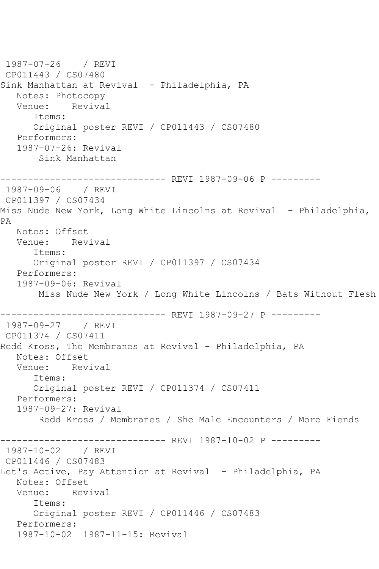```
1987-07-26 / REVI 
CP011443 / CS07480
Sink Manhattan at Revival - Philadelphia, PA
  Notes: Photocopy<br>Venue: Reviva
          Revival
       Items:
      Original poster REVI / CP011443 / CS07480
   Performers:
   1987-07-26: Revival
        Sink Manhattan
------------------------------ REVI 1987-09-06 P ---------
1987-09-06 / REVI 
CP011397 / CS07434
Miss Nude New York, Long White Lincolns at Revival - Philadelphia, 
PA
   Notes: Offset
   Venue: Revival
      Items:
      Original poster REVI / CP011397 / CS07434
   Performers:
   1987-09-06: Revival
       Miss Nude New York / Long White Lincolns / Bats Without Flesh
              ----------------- REVI 1987-09-27 P ----------<br>/ REVI
1987-09-27
CP011374 / CS07411
Redd Kross, The Membranes at Revival - Philadelphia, PA
   Notes: Offset
   Venue: Revival
       Items:
       Original poster REVI / CP011374 / CS07411
   Performers:
   1987-09-27: Revival
        Redd Kross / Membranes / She Male Encounters / More Fiends
------------------------------ REVI 1987-10-02 P ---------
1987-10-02 / REVI 
CP011446 / CS07483
Let's Active, Pay Attention at Revival - Philadelphia, PA
   Notes: Offset
   Venue: Revival
      Items:
      Original poster REVI / CP011446 / CS07483
   Performers:
   1987-10-02 1987-11-15: Revival
```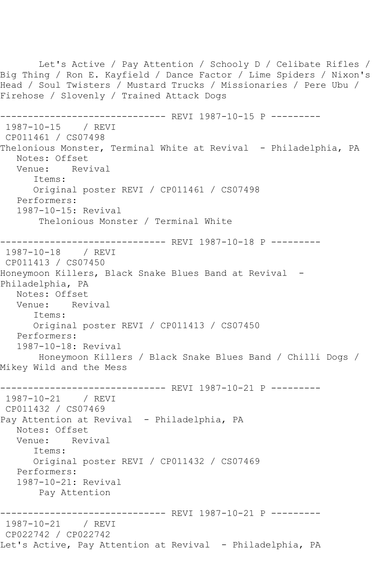Let's Active / Pay Attention / Schooly D / Celibate Rifles / Big Thing / Ron E. Kayfield / Dance Factor / Lime Spiders / Nixon's Head / Soul Twisters / Mustard Trucks / Missionaries / Pere Ubu / Firehose / Slovenly / Trained Attack Dogs ----------------- REVI 1987-10-15 P ---------1987-10-15 / REVI CP011461 / CS07498 Thelonious Monster, Terminal White at Revival - Philadelphia, PA Notes: Offset<br>Venue: Revival Venue: Items: Original poster REVI / CP011461 / CS07498 Performers: 1987-10-15: Revival Thelonious Monster / Terminal White ------------------------------ REVI 1987-10-18 P --------- 1987-10-18 / REVI CP011413 / CS07450 Honeymoon Killers, Black Snake Blues Band at Revival -Philadelphia, PA Notes: Offset<br>Venue: Rev Revival Items: Original poster REVI / CP011413 / CS07450 Performers: 1987-10-18: Revival Honeymoon Killers / Black Snake Blues Band / Chilli Dogs / Mikey Wild and the Mess ------------------------------ REVI 1987-10-21 P --------- 1987-10-21 / REVI CP011432 / CS07469 Pay Attention at Revival - Philadelphia, PA Notes: Offset Venue: Revival Items: Original poster REVI / CP011432 / CS07469 Performers: 1987-10-21: Revival Pay Attention ----------------- REVI 1987-10-21 P ----------<br>/ REVI 1987-10-21 CP022742 / CP022742 Let's Active, Pay Attention at Revival - Philadelphia, PA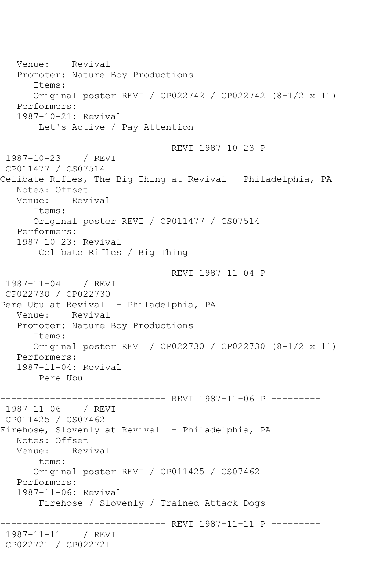Venue: Revival Promoter: Nature Boy Productions Items: Original poster REVI / CP022742 / CP022742 (8-1/2 x 11) Performers: 1987-10-21: Revival Let's Active / Pay Attention ------------ REVI 1987-10-23 P ----------1987-10-23 / REVI CP011477 / CS07514 Celibate Rifles, The Big Thing at Revival - Philadelphia, PA Notes: Offset Venue: Revival Items: Original poster REVI / CP011477 / CS07514 Performers: 1987-10-23: Revival Celibate Rifles / Big Thing ------------------------------ REVI 1987-11-04 P --------- 1987-11-04 / REVI CP022730 / CP022730 Pere Ubu at Revival - Philadelphia, PA Venue: Revival Promoter: Nature Boy Productions Items: Original poster REVI / CP022730 / CP022730 (8-1/2 x 11) Performers: 1987-11-04: Revival Pere Ubu ------------------------------ REVI 1987-11-06 P --------- 1987-11-06 / REVI CP011425 / CS07462 Firehose, Slovenly at Revival - Philadelphia, PA Notes: Offset Venue: Revival Items: Original poster REVI / CP011425 / CS07462 Performers: 1987-11-06: Revival Firehose / Slovenly / Trained Attack Dogs ------------------------------ REVI 1987-11-11 P --------- 1987-11-11 / REVI CP022721 / CP022721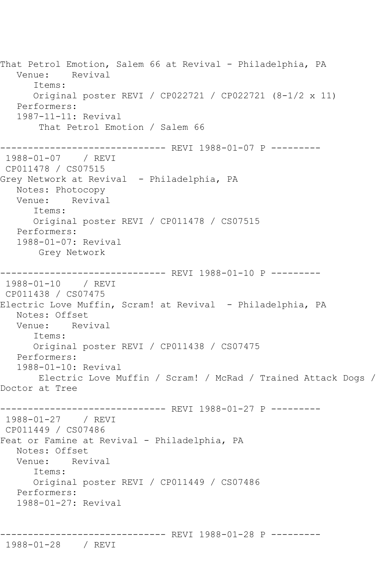That Petrol Emotion, Salem 66 at Revival - Philadelphia, PA Venue: Revival Items: Original poster REVI / CP022721 / CP022721 (8-1/2 x 11) Performers: 1987-11-11: Revival That Petrol Emotion / Salem 66 ------------------------------ REVI 1988-01-07 P --------- 1988-01-07 / REVI CP011478 / CS07515 Grey Network at Revival - Philadelphia, PA Notes: Photocopy Venue: Revival Items: Original poster REVI / CP011478 / CS07515 Performers: 1988-01-07: Revival Grey Network ------------------------------ REVI 1988-01-10 P --------- 1988-01-10 / REVI CP011438 / CS07475 Electric Love Muffin, Scram! at Revival - Philadelphia, PA Notes: Offset Venue: Revival Items: Original poster REVI / CP011438 / CS07475 Performers: 1988-01-10: Revival Electric Love Muffin / Scram! / McRad / Trained Attack Dogs / Doctor at Tree ------------------------------ REVI 1988-01-27 P --------- 1988-01-27 / REVI CP011449 / CS07486 Feat or Famine at Revival - Philadelphia, PA Notes: Offset Venue: Revival Items: Original poster REVI / CP011449 / CS07486 Performers: 1988-01-27: Revival ------------------------------ REVI 1988-01-28 P ---------

1988-01-28 / REVI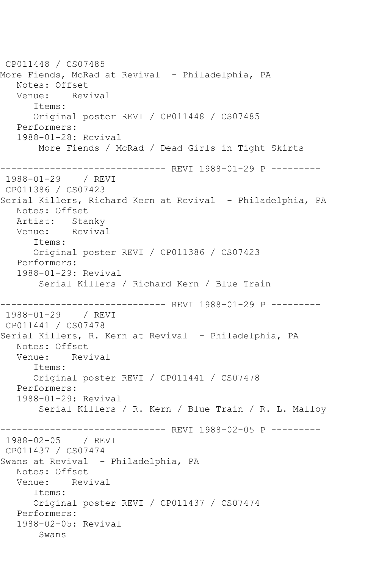CP011448 / CS07485 More Fiends, McRad at Revival - Philadelphia, PA Notes: Offset Venue: Revival Items: Original poster REVI / CP011448 / CS07485 Performers: 1988-01-28: Revival More Fiends / McRad / Dead Girls in Tight Skirts ------------------------------ REVI 1988-01-29 P --------- 1988-01-29 / REVI CP011386 / CS07423 Serial Killers, Richard Kern at Revival - Philadelphia, PA Notes: Offset Artist: Stanky Venue: Revival Items: Original poster REVI / CP011386 / CS07423 Performers: 1988-01-29: Revival Serial Killers / Richard Kern / Blue Train ------------------------------ REVI 1988-01-29 P --------- 1988-01-29 / REVI CP011441 / CS07478 Serial Killers, R. Kern at Revival - Philadelphia, PA Notes: Offset Venue: Revival Items: Original poster REVI / CP011441 / CS07478 Performers: 1988-01-29: Revival Serial Killers / R. Kern / Blue Train / R. L. Malloy ------------------------------ REVI 1988-02-05 P --------- 1988-02-05 / REVI CP011437 / CS07474 Swans at Revival - Philadelphia, PA Notes: Offset Venue: Revival Items: Original poster REVI / CP011437 / CS07474 Performers: 1988-02-05: Revival Swans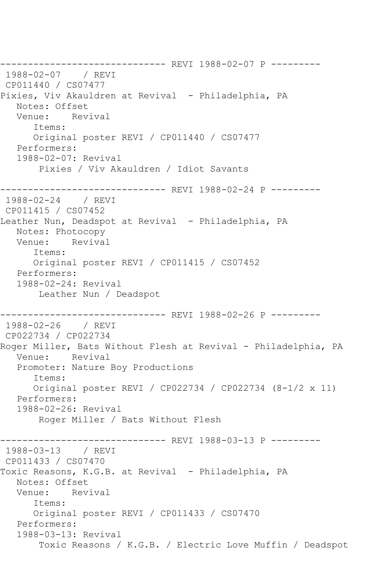------------------------------ REVI 1988-02-07 P --------- 1988-02-07 / REVI CP011440 / CS07477 Pixies, Viv Akauldren at Revival - Philadelphia, PA Notes: Offset Venue: Revival Items: Original poster REVI / CP011440 / CS07477 Performers: 1988-02-07: Revival Pixies / Viv Akauldren / Idiot Savants ------------------------------ REVI 1988-02-24 P --------- 1988-02-24 / REVI CP011415 / CS07452 Leather Nun, Deadspot at Revival - Philadelphia, PA Notes: Photocopy Venue: Revival Items: Original poster REVI / CP011415 / CS07452 Performers: 1988-02-24: Revival Leather Nun / Deadspot ---------- REVI 1988-02-26 P ---------1988-02-26 / REVI CP022734 / CP022734 Roger Miller, Bats Without Flesh at Revival - Philadelphia, PA Venue: Revival Promoter: Nature Boy Productions Items: Original poster REVI / CP022734 / CP022734 (8-1/2 x 11) Performers: 1988-02-26: Revival Roger Miller / Bats Without Flesh ------------------------------ REVI 1988-03-13 P --------- 1988-03-13 / REVI CP011433 / CS07470 Toxic Reasons, K.G.B. at Revival - Philadelphia, PA Notes: Offset Venue: Revival Items: Original poster REVI / CP011433 / CS07470 Performers: 1988-03-13: Revival Toxic Reasons / K.G.B. / Electric Love Muffin / Deadspot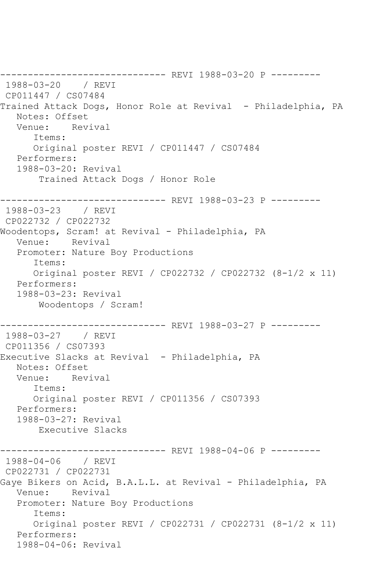------------------------------ REVI 1988-03-20 P --------- 1988-03-20 / REVI CP011447 / CS07484 Trained Attack Dogs, Honor Role at Revival - Philadelphia, PA Notes: Offset Venue: Revival Items: Original poster REVI / CP011447 / CS07484 Performers: 1988-03-20: Revival Trained Attack Dogs / Honor Role ------------------------------ REVI 1988-03-23 P --------- 1988-03-23 / REVI CP022732 / CP022732 Woodentops, Scram! at Revival - Philadelphia, PA Venue: Revival Promoter: Nature Boy Productions Items: Original poster REVI / CP022732 / CP022732 (8-1/2 x 11) Performers: 1988-03-23: Revival Woodentops / Scram! ------------------------------ REVI 1988-03-27 P --------- 1988-03-27 / REVI CP011356 / CS07393 Executive Slacks at Revival - Philadelphia, PA Notes: Offset Venue: Revival Items: Original poster REVI / CP011356 / CS07393 Performers: 1988-03-27: Revival Executive Slacks ----------- REVI 1988-04-06 P ---------1988-04-06 / REVI CP022731 / CP022731 Gaye Bikers on Acid, B.A.L.L. at Revival - Philadelphia, PA Venue: Revival Promoter: Nature Boy Productions Items: Original poster REVI / CP022731 / CP022731 (8-1/2 x 11) Performers: 1988-04-06: Revival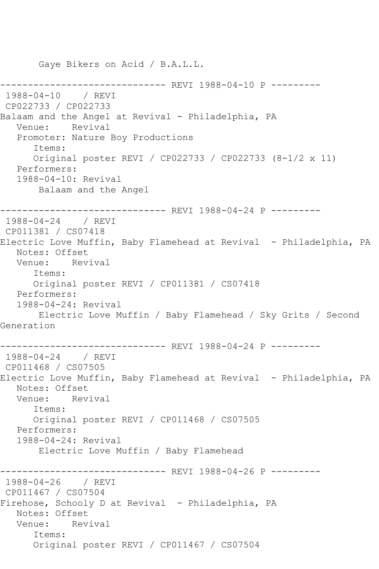Gaye Bikers on Acid / B.A.L.L. ------------------------------ REVI 1988-04-10 P --------- 1988-04-10 / REVI CP022733 / CP022733 Balaam and the Angel at Revival - Philadelphia, PA Venue: Revival Promoter: Nature Boy Productions Items: Original poster REVI / CP022733 / CP022733 (8-1/2 x 11) Performers: 1988-04-10: Revival Balaam and the Angel ------------------------------ REVI 1988-04-24 P --------- 1988-04-24 / REVI CP011381 / CS07418 Electric Love Muffin, Baby Flamehead at Revival - Philadelphia, PA Notes: Offset Venue: Revival Items: Original poster REVI / CP011381 / CS07418 Performers: 1988-04-24: Revival Electric Love Muffin / Baby Flamehead / Sky Grits / Second Generation ------------------------------ REVI 1988-04-24 P --------- 1988-04-24 / REVI CP011468 / CS07505 Electric Love Muffin, Baby Flamehead at Revival - Philadelphia, PA Notes: Offset Venue: Revival Items: Original poster REVI / CP011468 / CS07505 Performers: 1988-04-24: Revival Electric Love Muffin / Baby Flamehead ------------------------------ REVI 1988-04-26 P --------- 1988-04-26 / REVI CP011467 / CS07504 Firehose, Schooly D at Revival - Philadelphia, PA Notes: Offset Venue: Revival Items: Original poster REVI / CP011467 / CS07504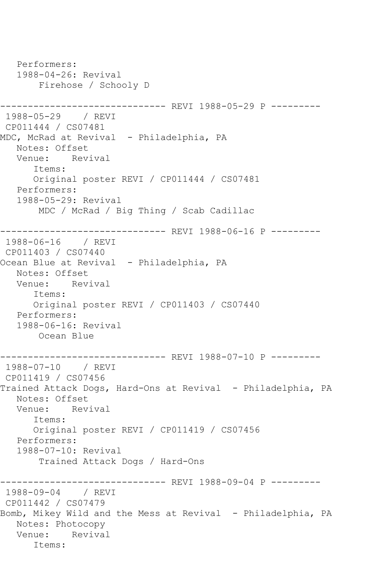```
 Performers:
   1988-04-26: Revival
       Firehose / Schooly D
------------------------------ REVI 1988-05-29 P ---------
1988-05-29 / REVI 
CP011444 / CS07481
MDC, McRad at Revival - Philadelphia, PA
   Notes: Offset
   Venue: Revival
      Items:
      Original poster REVI / CP011444 / CS07481
   Performers:
   1988-05-29: Revival
       MDC / McRad / Big Thing / Scab Cadillac
------------------------------ REVI 1988-06-16 P ---------
1988-06-16 / REVI 
CP011403 / CS07440
Ocean Blue at Revival - Philadelphia, PA
   Notes: Offset
   Venue: Revival
      Items:
      Original poster REVI / CP011403 / CS07440
   Performers:
   1988-06-16: Revival
       Ocean Blue
------------------------------ REVI 1988-07-10 P ---------
1988-07-10 / REVI 
CP011419 / CS07456
Trained Attack Dogs, Hard-Ons at Revival - Philadelphia, PA
   Notes: Offset
   Venue: Revival
      Items:
      Original poster REVI / CP011419 / CS07456
   Performers:
   1988-07-10: Revival
       Trained Attack Dogs / Hard-Ons
                  ------------ REVI 1988-09-04 P ---------
1988-09-04 / REVI 
CP011442 / CS07479
Bomb, Mikey Wild and the Mess at Revival - Philadelphia, PA
   Notes: Photocopy
   Venue: Revival
      Items:
```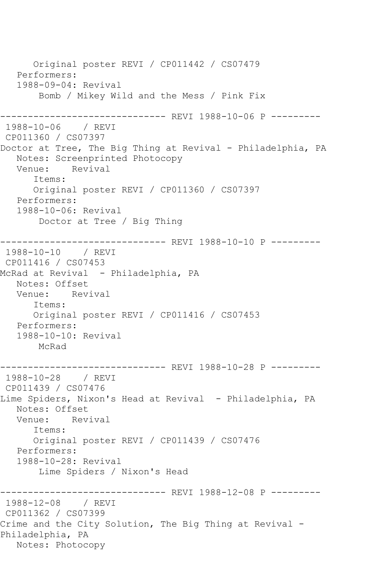Original poster REVI / CP011442 / CS07479 Performers: 1988-09-04: Revival Bomb / Mikey Wild and the Mess / Pink Fix -------------------- REVI 1988-10-06 P ---------1988-10-06 / REVI CP011360 / CS07397 Doctor at Tree, The Big Thing at Revival - Philadelphia, PA Notes: Screenprinted Photocopy<br>Venue: Revival Venue: Items: Original poster REVI / CP011360 / CS07397 Performers: 1988-10-06: Revival Doctor at Tree / Big Thing ------------------------------ REVI 1988-10-10 P --------- 1988-10-10 / REVI CP011416 / CS07453 McRad at Revival - Philadelphia, PA Notes: Offset Venue: Revival Items: Original poster REVI / CP011416 / CS07453 Performers: 1988-10-10: Revival McRad ------------------------------ REVI 1988-10-28 P --------- 1988-10-28 / REVI CP011439 / CS07476 Lime Spiders, Nixon's Head at Revival - Philadelphia, PA Notes: Offset Venue: Revival Items: Original poster REVI / CP011439 / CS07476 Performers: 1988-10-28: Revival Lime Spiders / Nixon's Head ------------------------------ REVI 1988-12-08 P --------- 1988-12-08 / REVI CP011362 / CS07399 Crime and the City Solution, The Big Thing at Revival - Philadelphia, PA Notes: Photocopy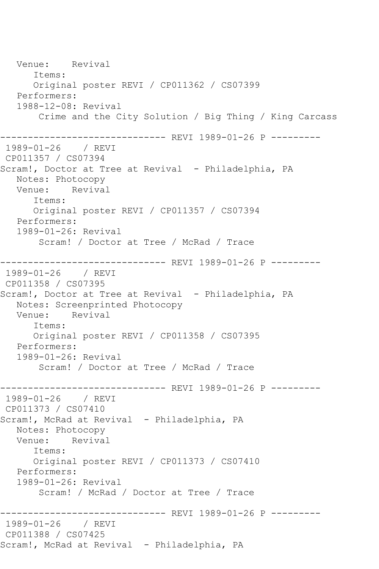Venue: Revival Items: Original poster REVI / CP011362 / CS07399 Performers: 1988-12-08: Revival Crime and the City Solution / Big Thing / King Carcass ------------------------------ REVI 1989-01-26 P --------- 1989-01-26 / REVI CP011357 / CS07394 Scram!, Doctor at Tree at Revival - Philadelphia, PA Notes: Photocopy Venue: Revival Items: Original poster REVI / CP011357 / CS07394 Performers: 1989-01-26: Revival Scram! / Doctor at Tree / McRad / Trace ------------------------------ REVI 1989-01-26 P --------- 1989-01-26 / REVI CP011358 / CS07395 Scram!, Doctor at Tree at Revival - Philadelphia, PA Notes: Screenprinted Photocopy Venue: Revival Items: Original poster REVI / CP011358 / CS07395 Performers: 1989-01-26: Revival Scram! / Doctor at Tree / McRad / Trace ------------------------------ REVI 1989-01-26 P --------- 1989-01-26 / REVI CP011373 / CS07410 Scram!, McRad at Revival - Philadelphia, PA Notes: Photocopy Venue: Revival Items: Original poster REVI / CP011373 / CS07410 Performers: 1989-01-26: Revival Scram! / McRad / Doctor at Tree / Trace ------------------------------ REVI 1989-01-26 P --------- 1989-01-26 / REVI CP011388 / CS07425 Scram!, McRad at Revival - Philadelphia, PA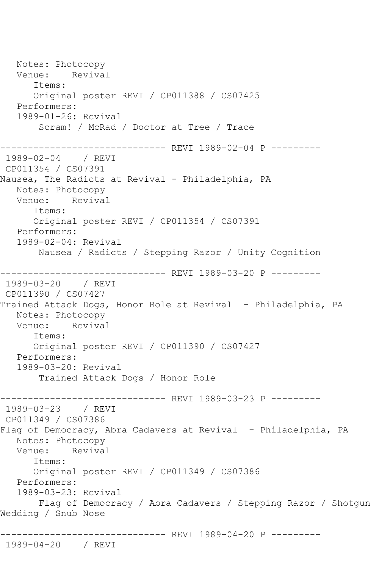Notes: Photocopy Venue: Revival Items: Original poster REVI / CP011388 / CS07425 Performers: 1989-01-26: Revival Scram! / McRad / Doctor at Tree / Trace ------------------------------ REVI 1989-02-04 P --------- 1989-02-04 / REVI CP011354 / CS07391 Nausea, The Radicts at Revival - Philadelphia, PA Notes: Photocopy Venue: Revival Items: Original poster REVI / CP011354 / CS07391 Performers: 1989-02-04: Revival Nausea / Radicts / Stepping Razor / Unity Cognition ------------------------------ REVI 1989-03-20 P --------- 1989-03-20 / REVI CP011390 / CS07427 Trained Attack Dogs, Honor Role at Revival - Philadelphia, PA Notes: Photocopy Venue: Revival Items: Original poster REVI / CP011390 / CS07427 Performers: 1989-03-20: Revival Trained Attack Dogs / Honor Role ------------------------------- REVI 1989-03-23 P ---------<br>1989-03-23 / REVI  $1989 - 03 - 23$ CP011349 / CS07386 Flag of Democracy, Abra Cadavers at Revival - Philadelphia, PA Notes: Photocopy Venue: Revival Items: Original poster REVI / CP011349 / CS07386 Performers: 1989-03-23: Revival Flag of Democracy / Abra Cadavers / Stepping Razor / Shotgun Wedding / Snub Nose ------------------------------ REVI 1989-04-20 P --------- 1989-04-20 / REVI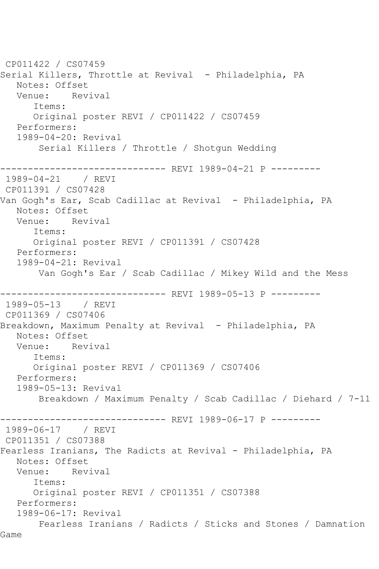```
CP011422 / CS07459
Serial Killers, Throttle at Revival - Philadelphia, PA
   Notes: Offset
   Venue: Revival
       Items:
       Original poster REVI / CP011422 / CS07459
   Performers:
   1989-04-20: Revival
        Serial Killers / Throttle / Shotgun Wedding
------------------------------ REVI 1989-04-21 P ---------
1989-04-21 / REVI 
CP011391 / CS07428
Van Gogh's Ear, Scab Cadillac at Revival - Philadelphia, PA
   Notes: Offset
   Venue: Revival
       Items:
      Original poster REVI / CP011391 / CS07428
   Performers:
   1989-04-21: Revival
       Van Gogh's Ear / Scab Cadillac / Mikey Wild and the Mess
------------------------------ REVI 1989-05-13 P ---------
1989-05-13 / REVI 
CP011369 / CS07406
Breakdown, Maximum Penalty at Revival - Philadelphia, PA
   Notes: Offset
   Venue: Revival
       Items:
       Original poster REVI / CP011369 / CS07406
   Performers:
   1989-05-13: Revival
        Breakdown / Maximum Penalty / Scab Cadillac / Diehard / 7-11
                    ------------------------------ REVI 1989-06-17 P ---------
1989-06-17 / REVI 
CP011351 / CS07388
Fearless Iranians, The Radicts at Revival - Philadelphia, PA
   Notes: Offset
   Venue: Revival
       Items:
      Original poster REVI / CP011351 / CS07388
   Performers:
   1989-06-17: Revival
       Fearless Iranians / Radicts / Sticks and Stones / Damnation 
Game
```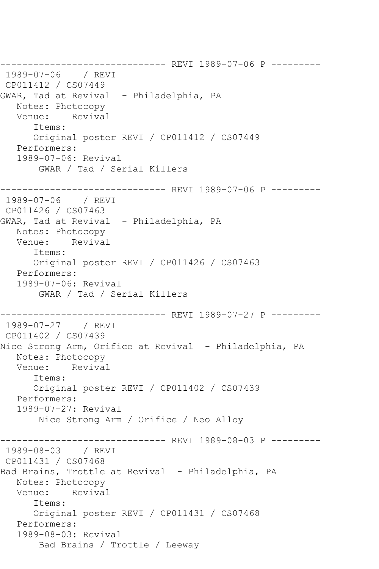------------------------------ REVI 1989-07-06 P --------- 1989-07-06 / REVI CP011412 / CS07449 GWAR, Tad at Revival - Philadelphia, PA Notes: Photocopy Venue: Revival Items: Original poster REVI / CP011412 / CS07449 Performers: 1989-07-06: Revival GWAR / Tad / Serial Killers ------------------------------ REVI 1989-07-06 P --------- 1989-07-06 / REVI CP011426 / CS07463 GWAR, Tad at Revival - Philadelphia, PA Notes: Photocopy Venue: Revival Items: Original poster REVI / CP011426 / CS07463 Performers: 1989-07-06: Revival GWAR / Tad / Serial Killers ------------------------------ REVI 1989-07-27 P --------- 1989-07-27 / REVI CP011402 / CS07439 Nice Strong Arm, Orifice at Revival - Philadelphia, PA Notes: Photocopy Venue: Revival Items: Original poster REVI / CP011402 / CS07439 Performers: 1989-07-27: Revival Nice Strong Arm / Orifice / Neo Alloy ------------------------------ REVI 1989-08-03 P --------- 1989-08-03 / REVI CP011431 / CS07468 Bad Brains, Trottle at Revival - Philadelphia, PA Notes: Photocopy Venue: Revival Items: Original poster REVI / CP011431 / CS07468 Performers: 1989-08-03: Revival Bad Brains / Trottle / Leeway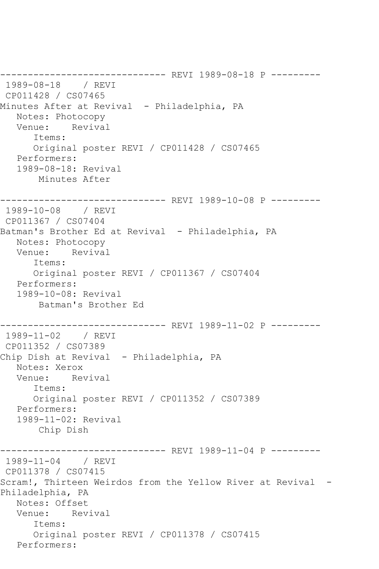------------------------------ REVI 1989-08-18 P --------- 1989-08-18 / REVI CP011428 / CS07465 Minutes After at Revival - Philadelphia, PA Notes: Photocopy Venue: Revival Items: Original poster REVI / CP011428 / CS07465 Performers: 1989-08-18: Revival Minutes After ------------------------------ REVI 1989-10-08 P --------- 1989-10-08 / REVI CP011367 / CS07404 Batman's Brother Ed at Revival - Philadelphia, PA Notes: Photocopy Venue: Revival Items: Original poster REVI / CP011367 / CS07404 Performers: 1989-10-08: Revival Batman's Brother Ed ------------------------------ REVI 1989-11-02 P --------- 1989-11-02 / REVI CP011352 / CS07389 Chip Dish at Revival - Philadelphia, PA Notes: Xerox Venue: Revival Items: Original poster REVI / CP011352 / CS07389 Performers: 1989-11-02: Revival Chip Dish ---------- REVI 1989-11-04 P ---------1989-11-04 / REVI CP011378 / CS07415 Scram!, Thirteen Weirdos from the Yellow River at Revival - Philadelphia, PA Notes: Offset Venue: Revival Items: Original poster REVI / CP011378 / CS07415 Performers: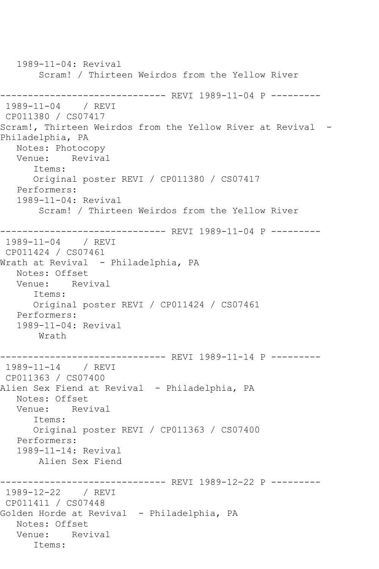1989-11-04: Revival Scram! / Thirteen Weirdos from the Yellow River ------------------------------ REVI 1989-11-04 P --------- 1989-11-04 / REVI CP011380 / CS07417 Scram!, Thirteen Weirdos from the Yellow River at Revival - Philadelphia, PA Notes: Photocopy Venue: Revival Items: Original poster REVI / CP011380 / CS07417 Performers: 1989-11-04: Revival Scram! / Thirteen Weirdos from the Yellow River ------------------------------ REVI 1989-11-04 P --------- 1989-11-04 / REVI CP011424 / CS07461 Wrath at Revival - Philadelphia, PA Notes: Offset Venue: Revival Items: Original poster REVI / CP011424 / CS07461 Performers: 1989-11-04: Revival Wrath ------------------------------ REVI 1989-11-14 P --------- 1989-11-14 / REVI CP011363 / CS07400 Alien Sex Fiend at Revival - Philadelphia, PA Notes: Offset Venue: Revival Items: Original poster REVI / CP011363 / CS07400 Performers: 1989-11-14: Revival Alien Sex Fiend ------------------------------ REVI 1989-12-22 P --------- 1989-12-22 / REVI CP011411 / CS07448 Golden Horde at Revival - Philadelphia, PA Notes: Offset Venue: Revival Items: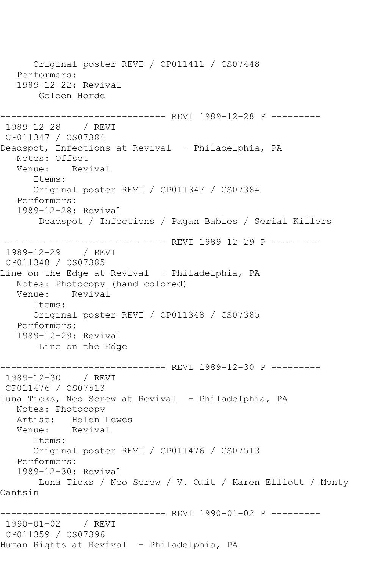Original poster REVI / CP011411 / CS07448 Performers: 1989-12-22: Revival Golden Horde ------------------------------ REVI 1989-12-28 P --------- 1989-12-28 / REVI CP011347 / CS07384 Deadspot, Infections at Revival - Philadelphia, PA Notes: Offset<br>Venue: Rev Revival Items: Original poster REVI / CP011347 / CS07384 Performers: 1989-12-28: Revival Deadspot / Infections / Pagan Babies / Serial Killers ------------------------------ REVI 1989-12-29 P --------- 1989-12-29 / REVI CP011348 / CS07385 Line on the Edge at Revival - Philadelphia, PA Notes: Photocopy (hand colored) Venue: Revival Items: Original poster REVI / CP011348 / CS07385 Performers: 1989-12-29: Revival Line on the Edge ------------------------------- REVI 1989-12-30 P ---------<br>1989-12-30 / REVI 1989-12-30 CP011476 / CS07513 Luna Ticks, Neo Screw at Revival - Philadelphia, PA Notes: Photocopy Artist: Helen Lewes<br>Venue: Revival Venue: Items: Original poster REVI / CP011476 / CS07513 Performers: 1989-12-30: Revival Luna Ticks / Neo Screw / V. Omit / Karen Elliott / Monty Cantsin ------------------------------ REVI 1990-01-02 P --------- 1990-01-02 / REVI CP011359 / CS07396 Human Rights at Revival - Philadelphia, PA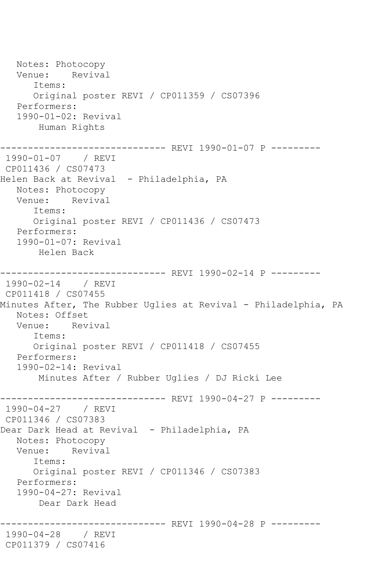Notes: Photocopy Venue: Revival Items: Original poster REVI / CP011359 / CS07396 Performers: 1990-01-02: Revival Human Rights ------------------------------ REVI 1990-01-07 P --------- 1990-01-07 / REVI CP011436 / CS07473 Helen Back at Revival - Philadelphia, PA Notes: Photocopy Venue: Revival Items: Original poster REVI / CP011436 / CS07473 Performers: 1990-01-07: Revival Helen Back ------------------------------ REVI 1990-02-14 P --------- 1990-02-14 / REVI CP011418 / CS07455 Minutes After, The Rubber Uglies at Revival - Philadelphia, PA Notes: Offset Venue: Revival Items: Original poster REVI / CP011418 / CS07455 Performers: 1990-02-14: Revival Minutes After / Rubber Uglies / DJ Ricki Lee ------------------------------ REVI 1990-04-27 P ---------<br>1990-04-27 / REVI  $1990 - 04 - 27$ CP011346 / CS07383 Dear Dark Head at Revival - Philadelphia, PA Notes: Photocopy Venue: Revival Items: Original poster REVI / CP011346 / CS07383 Performers: 1990-04-27: Revival Dear Dark Head ------------------------------ REVI 1990-04-28 P --------- 1990-04-28 / REVI CP011379 / CS07416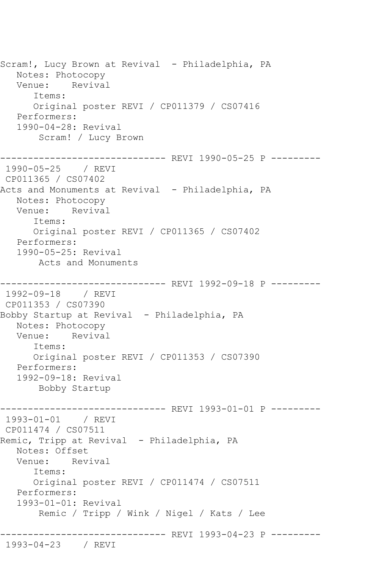Scram!, Lucy Brown at Revival - Philadelphia, PA Notes: Photocopy Venue: Revival Items: Original poster REVI / CP011379 / CS07416 Performers: 1990-04-28: Revival Scram! / Lucy Brown ------------------------------ REVI 1990-05-25 P --------- 1990-05-25 / REVI CP011365 / CS07402 Acts and Monuments at Revival - Philadelphia, PA Notes: Photocopy Venue: Revival Items: Original poster REVI / CP011365 / CS07402 Performers: 1990-05-25: Revival Acts and Monuments ------------------------------ REVI 1992-09-18 P --------- 1992-09-18 / REVI CP011353 / CS07390 Bobby Startup at Revival - Philadelphia, PA Notes: Photocopy Venue: Revival Items: Original poster REVI / CP011353 / CS07390 Performers: 1992-09-18: Revival Bobby Startup ------------------------------ REVI 1993-01-01 P --------- 1993-01-01 / REVI CP011474 / CS07511 Remic, Tripp at Revival - Philadelphia, PA Notes: Offset Venue: Revival Items: Original poster REVI / CP011474 / CS07511 Performers: 1993-01-01: Revival Remic / Tripp / Wink / Nigel / Kats / Lee ------------------------------ REVI 1993-04-23 P --------- 1993-04-23 / REVI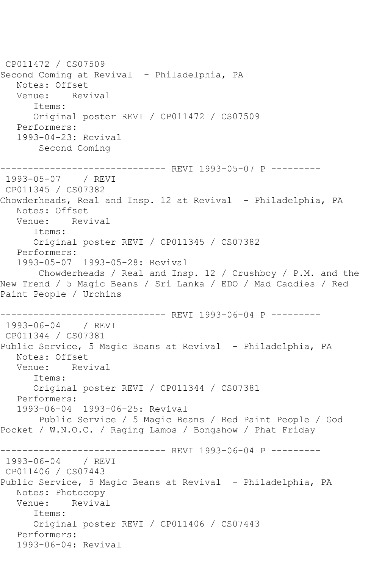CP011472 / CS07509 Second Coming at Revival - Philadelphia, PA Notes: Offset Venue: Revival Items: Original poster REVI / CP011472 / CS07509 Performers: 1993-04-23: Revival Second Coming ------------------------------ REVI 1993-05-07 P --------- 1993-05-07 / REVI CP011345 / CS07382 Chowderheads, Real and Insp. 12 at Revival - Philadelphia, PA Notes: Offset Venue: Revival Items: Original poster REVI / CP011345 / CS07382 Performers: 1993-05-07 1993-05-28: Revival Chowderheads / Real and Insp. 12 / Crushboy / P.M. and the New Trend / 5 Magic Beans / Sri Lanka / EDO / Mad Caddies / Red Paint People / Urchins ------------------------------ REVI 1993-06-04 P --------- 1993-06-04 / REVI CP011344 / CS07381 Public Service, 5 Magic Beans at Revival - Philadelphia, PA Notes: Offset Venue: Revival Items: Original poster REVI / CP011344 / CS07381 Performers: 1993-06-04 1993-06-25: Revival Public Service / 5 Magic Beans / Red Paint People / God Pocket / W.N.O.C. / Raging Lamos / Bongshow / Phat Friday ------------- REVI 1993-06-04 P ---------1993-06-04 / REVI CP011406 / CS07443 Public Service, 5 Magic Beans at Revival - Philadelphia, PA Notes: Photocopy Venue: Revival Items: Original poster REVI / CP011406 / CS07443 Performers: 1993-06-04: Revival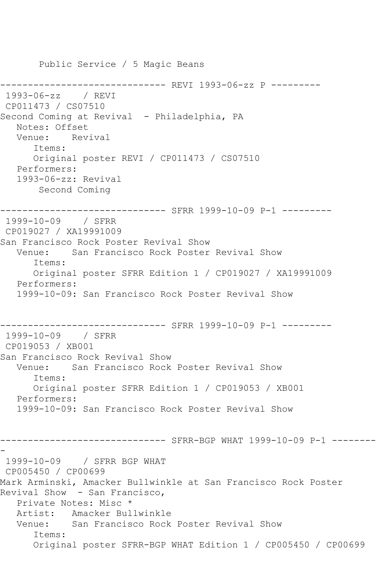Public Service / 5 Magic Beans ------------- REVI 1993-06-zz P ---------1993-06-zz / REVI CP011473 / CS07510 Second Coming at Revival - Philadelphia, PA Notes: Offset Venue: Revival Items: Original poster REVI / CP011473 / CS07510 Performers: 1993-06-zz: Revival Second Coming ------------------------------ SFRR 1999-10-09 P-1 --------- 1999-10-09 / SFRR CP019027 / XA19991009 San Francisco Rock Poster Revival Show Venue: San Francisco Rock Poster Revival Show Items: Original poster SFRR Edition 1 / CP019027 / XA19991009 Performers: 1999-10-09: San Francisco Rock Poster Revival Show ------------------------------ SFRR 1999-10-09 P-1 --------- 1999-10-09 / SFRR CP019053 / XB001 San Francisco Rock Revival Show Venue: San Francisco Rock Poster Revival Show Items: Original poster SFRR Edition 1 / CP019053 / XB001 Performers: 1999-10-09: San Francisco Rock Poster Revival Show ------------------------------ SFRR-BGP WHAT 1999-10-09 P-1 -------- - 1999-10-09 / SFRR BGP WHAT CP005450 / CP00699 Mark Arminski, Amacker Bullwinkle at San Francisco Rock Poster Revival Show - San Francisco, Private Notes: Misc \* Artist: Amacker Bullwinkle Venue: San Francisco Rock Poster Revival Show Items: Original poster SFRR-BGP WHAT Edition 1 / CP005450 / CP00699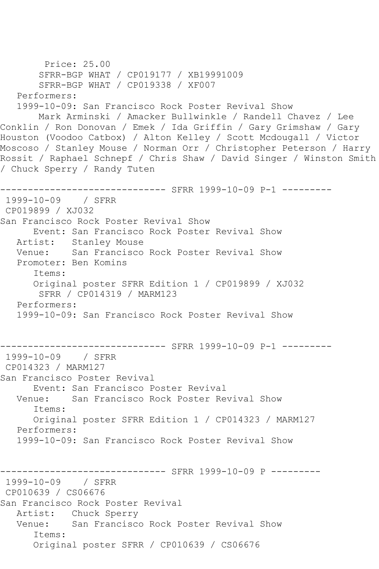```
 Price: 25.00
        SFRR-BGP WHAT / CP019177 / XB19991009
        SFRR-BGP WHAT / CP019338 / XF007
   Performers:
   1999-10-09: San Francisco Rock Poster Revival Show
       Mark Arminski / Amacker Bullwinkle / Randell Chavez / Lee 
Conklin / Ron Donovan / Emek / Ida Griffin / Gary Grimshaw / Gary 
Houston (Voodoo Catbox) / Alton Kelley / Scott Mcdougall / Victor 
Moscoso / Stanley Mouse / Norman Orr / Christopher Peterson / Harry 
Rossit / Raphael Schnepf / Chris Shaw / David Singer / Winston Smith 
/ Chuck Sperry / Randy Tuten
------------------------------ SFRR 1999-10-09 P-1 ---------
1999-10-09 / SFRR 
CP019899 / XJ032
San Francisco Rock Poster Revival Show
      Event: San Francisco Rock Poster Revival Show
   Artist: Stanley Mouse
   Venue: San Francisco Rock Poster Revival Show
   Promoter: Ben Komins
       Items:
       Original poster SFRR Edition 1 / CP019899 / XJ032
        SFRR / CP014319 / MARM123
   Performers:
   1999-10-09: San Francisco Rock Poster Revival Show
         ------------------------------ SFRR 1999-10-09 P-1 ---------
1999-10-09 / SFRR 
CP014323 / MARM127
San Francisco Poster Revival
      Event: San Francisco Poster Revival
   Venue: San Francisco Rock Poster Revival Show
       Items:
       Original poster SFRR Edition 1 / CP014323 / MARM127
   Performers:
   1999-10-09: San Francisco Rock Poster Revival Show
------------------------------ SFRR 1999-10-09 P ---------
1999-10-09 / SFRR 
CP010639 / CS06676
San Francisco Rock Poster Revival
   Artist: Chuck Sperry
   Venue: San Francisco Rock Poster Revival Show
       Items:
       Original poster SFRR / CP010639 / CS06676
```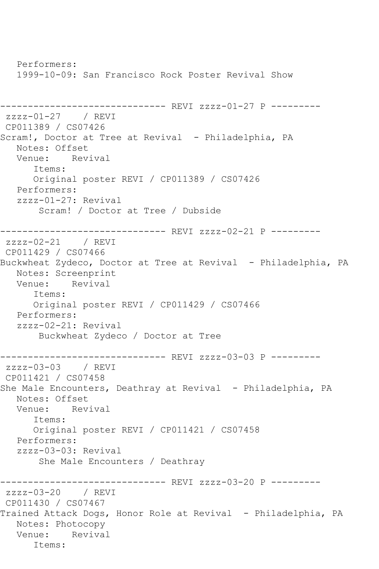Performers: 1999-10-09: San Francisco Rock Poster Revival Show ------------------------------ REVI zzzz-01-27 P -------- zzzz-01-27 / REVI CP011389 / CS07426 Scram!, Doctor at Tree at Revival - Philadelphia, PA Notes: Offset Venue: Revival Items: Original poster REVI / CP011389 / CS07426 Performers: zzzz-01-27: Revival Scram! / Doctor at Tree / Dubside ------------------------------- REVI zzzz-02-21 P ---------<br>zzzz-02-21 / REVI  $zzzz-02-21$ CP011429 / CS07466 Buckwheat Zydeco, Doctor at Tree at Revival - Philadelphia, PA Notes: Screenprint Venue: Revival Items: Original poster REVI / CP011429 / CS07466 Performers: zzzz-02-21: Revival Buckwheat Zydeco / Doctor at Tree ------------------------------ REVI zzzz-03-03 P -------- zzzz-03-03 / REVI CP011421 / CS07458 She Male Encounters, Deathray at Revival - Philadelphia, PA Notes: Offset<br>Venue: Rev Revival Items: Original poster REVI / CP011421 / CS07458 Performers: zzzz-03-03: Revival She Male Encounters / Deathray ------------------------------ REVI zzzz-03-20 P -------- zzzz-03-20 / REVI CP011430 / CS07467 Trained Attack Dogs, Honor Role at Revival - Philadelphia, PA Notes: Photocopy Venue: Revival Items: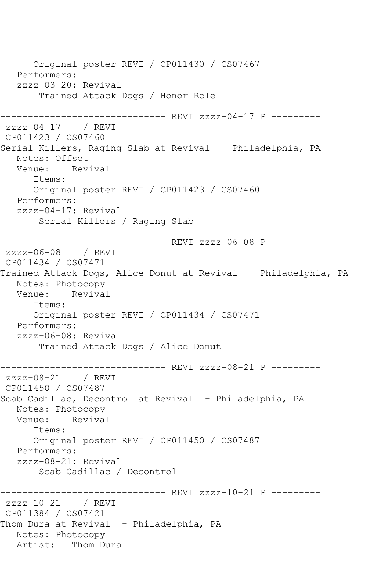Original poster REVI / CP011430 / CS07467 Performers: zzzz-03-20: Revival Trained Attack Dogs / Honor Role ------------------------------ REVI zzzz-04-17 P -------- zzzz-04-17 / REVI CP011423 / CS07460 Serial Killers, Raging Slab at Revival - Philadelphia, PA Notes: Offset Venue: Revival Items: Original poster REVI / CP011423 / CS07460 Performers: zzzz-04-17: Revival Serial Killers / Raging Slab ------------------------------ REVI zzzz-06-08 P -------- zzzz-06-08 / REVI CP011434 / CS07471 Trained Attack Dogs, Alice Donut at Revival - Philadelphia, PA Notes: Photocopy Venue: Revival Items: Original poster REVI / CP011434 / CS07471 Performers: zzzz-06-08: Revival Trained Attack Dogs / Alice Donut ------------------------------- REVI zzzz-08-21 P ---------<br>zzzz-08-21 / REVI  $zzzz-08-21$ CP011450 / CS07487 Scab Cadillac, Decontrol at Revival - Philadelphia, PA Notes: Photocopy Venue: Revival Items: Original poster REVI / CP011450 / CS07487 Performers: zzzz-08-21: Revival Scab Cadillac / Decontrol ------------------------------ REVI zzzz-10-21 P -------- zzzz-10-21 / REVI CP011384 / CS07421 Thom Dura at Revival - Philadelphia, PA Notes: Photocopy Artist: Thom Dura